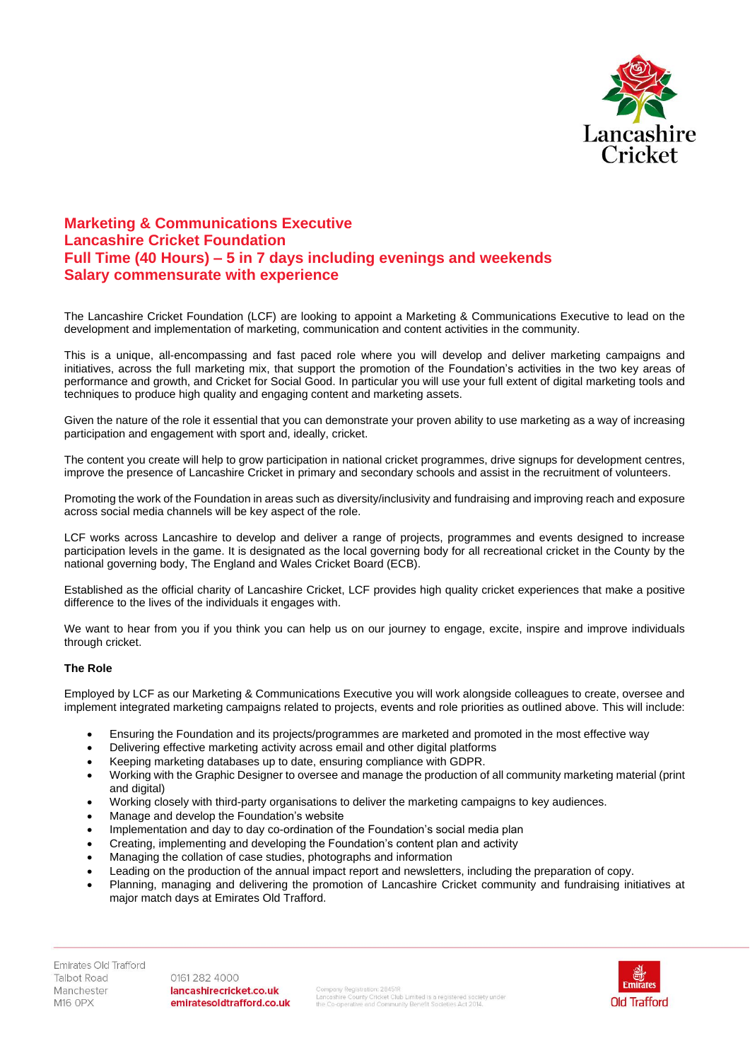

## **Marketing & Communications Executive Lancashire Cricket Foundation Full Time (40 Hours) – 5 in 7 days including evenings and weekends Salary commensurate with experience**

The Lancashire Cricket Foundation (LCF) are looking to appoint a Marketing & Communications Executive to lead on the development and implementation of marketing, communication and content activities in the community.

This is a unique, all-encompassing and fast paced role where you will develop and deliver marketing campaigns and initiatives, across the full marketing mix, that support the promotion of the Foundation's activities in the two key areas of performance and growth, and Cricket for Social Good. In particular you will use your full extent of digital marketing tools and techniques to produce high quality and engaging content and marketing assets.

Given the nature of the role it essential that you can demonstrate your proven ability to use marketing as a way of increasing participation and engagement with sport and, ideally, cricket.

The content you create will help to grow participation in national cricket programmes, drive signups for development centres, improve the presence of Lancashire Cricket in primary and secondary schools and assist in the recruitment of volunteers.

Promoting the work of the Foundation in areas such as diversity/inclusivity and fundraising and improving reach and exposure across social media channels will be key aspect of the role.

LCF works across Lancashire to develop and deliver a range of projects, programmes and events designed to increase participation levels in the game. It is designated as the local governing body for all recreational cricket in the County by the national governing body, The England and Wales Cricket Board (ECB).

Established as the official charity of Lancashire Cricket, LCF provides high quality cricket experiences that make a positive difference to the lives of the individuals it engages with.

We want to hear from you if you think you can help us on our journey to engage, excite, inspire and improve individuals through cricket.

## **The Role**

Employed by LCF as our Marketing & Communications Executive you will work alongside colleagues to create, oversee and implement integrated marketing campaigns related to projects, events and role priorities as outlined above. This will include:

- Ensuring the Foundation and its projects/programmes are marketed and promoted in the most effective way
- Delivering effective marketing activity across email and other digital platforms
- Keeping marketing databases up to date, ensuring compliance with GDPR.
- Working with the Graphic Designer to oversee and manage the production of all community marketing material (print and digital)
- Working closely with third-party organisations to deliver the marketing campaigns to key audiences.
- Manage and develop the Foundation's website
- Implementation and day to day co-ordination of the Foundation's social media plan
- Creating, implementing and developing the Foundation's content plan and activity
- Managing the collation of case studies, photographs and information
- Leading on the production of the annual impact report and newsletters, including the preparation of copy.
- Planning, managing and delivering the promotion of Lancashire Cricket community and fundraising initiatives at major match days at Emirates Old Trafford.

0161 282 4000 lancashirecricket.co.uk emiratesoldtrafford.co.uk

Company Registration: 28451R<br>Lancashire County Cricket Club Limited is a registered society under<br>the Co-operative and Community Benefit Societies Act 2014.